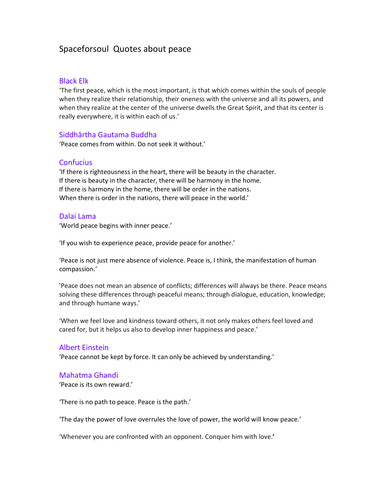# Spaceforsoul Quotes about peace

# Black Elk

'The first peace, which is the most important, is that which comes within the souls of people when they realize their relationship, their oneness with the universe and all its powers, and when they realize at the center of the universe dwells the Great Spirit, and that its center is really everywhere, it is within each of us.'

# Siddhārtha Gautama Buddha

'Peace comes from within. Do not seek it without.'

# **Confucius**

'If there is righteousness in the heart, there will be beauty in the character. If there is beauty in the character, there will be harmony in the home. If there is harmony in the home, there will be order in the nations. When there is order in the nations, there will peace in the world.'

# Dalai Lama

'World peace begins with inner peace.'

'If you wish to experience peace, provide peace for another.'

'Peace is not just mere absence of violence. Peace is, I think, the manifestation of human compassion.'

'Peace does not mean an absence of conflicts; differences will always be there. Peace means solving these differences through peaceful means; through dialogue, education, knowledge; and through humane ways.'

'When we feel love and kindness toward others, it not only makes others feel loved and cared for, but it helps us also to develop inner happiness and peace.'

# Albert Einstein

'Peace cannot be kept by force. It can only be achieved by understanding.'

# Mahatma Ghandi

'Peace is its own reward.'

'There is no path to peace. Peace is the path.'

'The day the power of love overrules the love of power, the world will know peace.'

'Whenever you are confronted with an opponent. Conquer him with love.**'**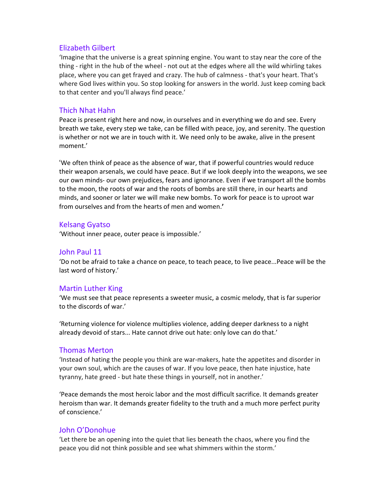# Elizabeth Gilbert

'Imagine that the universe is a great spinning engine. You want to stay near the core of the thing - right in the hub of the wheel - not out at the edges where all the wild whirling takes place, where you can get frayed and crazy. The hub of calmness - that's your heart. That's where God lives within you. So stop looking for answers in the world. Just keep coming back to that center and you'll always find peace.'

### Thich Nhat Hahn

Peace is present right here and now, in ourselves and in everything we do and see. Every breath we take, every step we take, can be filled with peace, joy, and serenity. The question is whether or not we are in touch with it. We need only to be awake, alive in the present moment.'

'We often think of peace as the absence of war, that if powerful countries would reduce their weapon arsenals, we could have peace. But if we look deeply into the weapons, we see our own minds- our own prejudices, fears and ignorance. Even if we transport all the bombs to the moon, the roots of war and the roots of bombs are still there, in our hearts and minds, and sooner or later we will make new bombs. To work for peace is to uproot war from ourselves and from the hearts of men and women.**'** 

# Kelsang Gyatso

'Without inner peace, outer peace is impossible.'

### John Paul 11

'Do not be afraid to take a chance on peace, to teach peace, to live peace...Peace will be the last word of history.'

# Martin Luther King

'We must see that peace represents a sweeter music, a cosmic melody, that is far superior to the discords of war.'

'Returning violence for violence multiplies violence, adding deeper darkness to a night already devoid of stars... Hate cannot drive out hate: only love can do that.'

#### Thomas Merton

'Instead of hating the people you think are war-makers, hate the appetites and disorder in your own soul, which are the causes of war. If you love peace, then hate injustice, hate tyranny, hate greed - but hate these things in yourself, not in another.'

'Peace demands the most heroic labor and the most difficult sacrifice. It demands greater heroism than war. It demands greater fidelity to the truth and a much more perfect purity of conscience.'

#### John O'Donohue

'Let there be an opening into the quiet that lies beneath the chaos, where you find the peace you did not think possible and see what shimmers within the storm.'